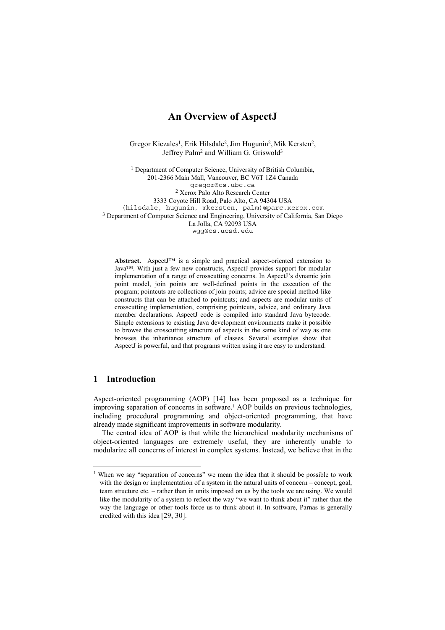# **An Overview of AspectJ**

Gregor Kiczales<sup>1</sup>, Erik Hilsdale<sup>2</sup>, Jim Hugunin<sup>2</sup>, Mik Kersten<sup>2</sup>, Jeffrey Palm2 and William G. Griswold3

1 Department of Computer Science, University of British Columbia, 201-2366 Main Mall, Vancouver, BC V6T 1Z4 Canada gregor@cs.ubc.ca 2 Xerox Palo Alto Research Center 3333 Coyote Hill Road, Palo Alto, CA 94304 USA (hilsdale, hugunin, mkersten, palm)@parc.xerox.com 3 Department of Computer Science and Engineering, University of California, San Diego La Jolla, CA 92093 USA wgg@cs.ucsd.edu

Abstract. AspectJ<sup>™</sup> is a simple and practical aspect-oriented extension to Java™. With just a few new constructs, AspectJ provides support for modular implementation of a range of crosscutting concerns. In AspectJ's dynamic join point model, join points are well-defined points in the execution of the program; pointcuts are collections of join points; advice are special method-like constructs that can be attached to pointcuts; and aspects are modular units of crosscutting implementation, comprising pointcuts, advice, and ordinary Java member declarations. AspectJ code is compiled into standard Java bytecode. Simple extensions to existing Java development environments make it possible to browse the crosscutting structure of aspects in the same kind of way as one browses the inheritance structure of classes. Several examples show that AspectJ is powerful, and that programs written using it are easy to understand.

# **1 Introduction**

l

Aspect-oriented programming (AOP) [14] has been proposed as a technique for improving separation of concerns in software.<sup>1</sup> AOP builds on previous technologies, including procedural programming and object-oriented programming, that have already made significant improvements in software modularity.

The central idea of AOP is that while the hierarchical modularity mechanisms of object-oriented languages are extremely useful, they are inherently unable to modularize all concerns of interest in complex systems. Instead, we believe that in the

<sup>&</sup>lt;sup>1</sup> When we say "separation of concerns" we mean the idea that it should be possible to work with the design or implementation of a system in the natural units of concern – concept, goal, team structure etc. – rather than in units imposed on us by the tools we are using. We would like the modularity of a system to reflect the way "we want to think about it" rather than the way the language or other tools force us to think about it. In software, Parnas is generally credited with this idea [29, 30].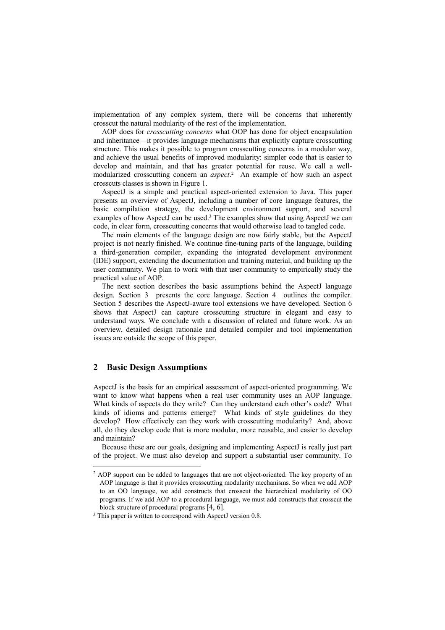implementation of any complex system, there will be concerns that inherently crosscut the natural modularity of the rest of the implementation.

AOP does for *crosscutting concerns* what OOP has done for object encapsulation and inheritance—it provides language mechanisms that explicitly capture crosscutting structure. This makes it possible to program crosscutting concerns in a modular way, and achieve the usual benefits of improved modularity: simpler code that is easier to develop and maintain, and that has greater potential for reuse. We call a wellmodularized crosscutting concern an *aspect*. 2 An example of how such an aspect crosscuts classes is shown in Figure 1.

AspectJ is a simple and practical aspect-oriented extension to Java. This paper presents an overview of AspectJ, including a number of core language features, the basic compilation strategy, the development environment support, and several examples of how AspectJ can be used.<sup>3</sup> The examples show that using AspectJ we can code, in clear form, crosscutting concerns that would otherwise lead to tangled code.

The main elements of the language design are now fairly stable, but the AspectJ project is not nearly finished. We continue fine-tuning parts of the language, building a third-generation compiler, expanding the integrated development environment (IDE) support, extending the documentation and training material, and building up the user community. We plan to work with that user community to empirically study the practical value of AOP.

The next section describes the basic assumptions behind the AspectJ language design. Section 3 presents the core language. Section 4 outlines the compiler. Section 5 describes the AspectJ-aware tool extensions we have developed. Section 6 shows that AspectJ can capture crosscutting structure in elegant and easy to understand ways. We conclude with a discussion of related and future work. As an overview, detailed design rationale and detailed compiler and tool implementation issues are outside the scope of this paper.

# **2 Basic Design Assumptions**

l

AspectJ is the basis for an empirical assessment of aspect-oriented programming. We want to know what happens when a real user community uses an AOP language. What kinds of aspects do they write? Can they understand each other's code? What kinds of idioms and patterns emerge? What kinds of style guidelines do they develop? How effectively can they work with crosscutting modularity? And, above all, do they develop code that is more modular, more reusable, and easier to develop and maintain?

Because these are our goals, designing and implementing AspectJ is really just part of the project. We must also develop and support a substantial user community. To

<sup>&</sup>lt;sup>2</sup> AOP support can be added to languages that are not object-oriented. The key property of an AOP language is that it provides crosscutting modularity mechanisms. So when we add AOP to an OO language, we add constructs that crosscut the hierarchical modularity of OO programs. If we add AOP to a procedural language, we must add constructs that crosscut the block structure of procedural programs  $[4, 6]$ .

<sup>&</sup>lt;sup>3</sup> This paper is written to correspond with AspectJ version 0.8.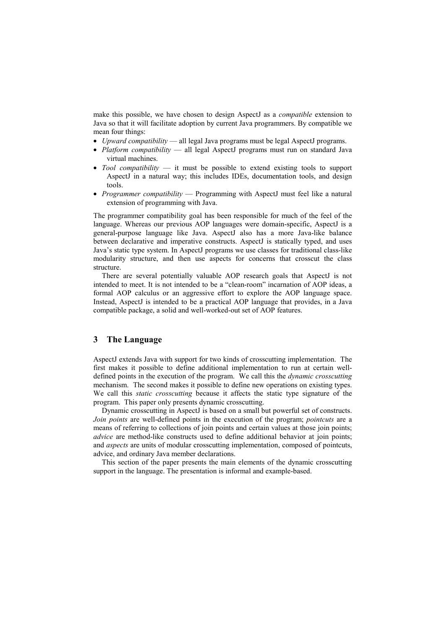make this possible, we have chosen to design AspectJ as a *compatible* extension to Java so that it will facilitate adoption by current Java programmers. By compatible we mean four things:

- *Upward compatibility* all legal Java programs must be legal AspectJ programs.
- *Platform compatibility*  all legal AspectJ programs must run on standard Java virtual machines.
- *Tool compatibility* it must be possible to extend existing tools to support AspectJ in a natural way; this includes IDEs, documentation tools, and design tools.
- *Programmer compatibility* Programming with AspectJ must feel like a natural extension of programming with Java.

The programmer compatibility goal has been responsible for much of the feel of the language. Whereas our previous AOP languages were domain-specific, AspectJ is a general-purpose language like Java. AspectJ also has a more Java-like balance between declarative and imperative constructs. AspectJ is statically typed, and uses Java's static type system. In AspectJ programs we use classes for traditional class-like modularity structure, and then use aspects for concerns that crosscut the class structure.

There are several potentially valuable AOP research goals that AspectJ is not intended to meet. It is not intended to be a "clean-room" incarnation of AOP ideas, a formal AOP calculus or an aggressive effort to explore the AOP language space. Instead, AspectJ is intended to be a practical AOP language that provides, in a Java compatible package, a solid and well-worked-out set of AOP features.

# **3 The Language**

AspectJ extends Java with support for two kinds of crosscutting implementation. The first makes it possible to define additional implementation to run at certain welldefined points in the execution of the program. We call this the *dynamic crosscutting* mechanism. The second makes it possible to define new operations on existing types. We call this *static crosscutting* because it affects the static type signature of the program. This paper only presents dynamic crosscutting.

Dynamic crosscutting in AspectJ is based on a small but powerful set of constructs. *Join points* are well-defined points in the execution of the program; *pointcuts* are a means of referring to collections of join points and certain values at those join points; *advice* are method-like constructs used to define additional behavior at join points; and *aspects* are units of modular crosscutting implementation, composed of pointcuts, advice, and ordinary Java member declarations.

This section of the paper presents the main elements of the dynamic crosscutting support in the language. The presentation is informal and example-based.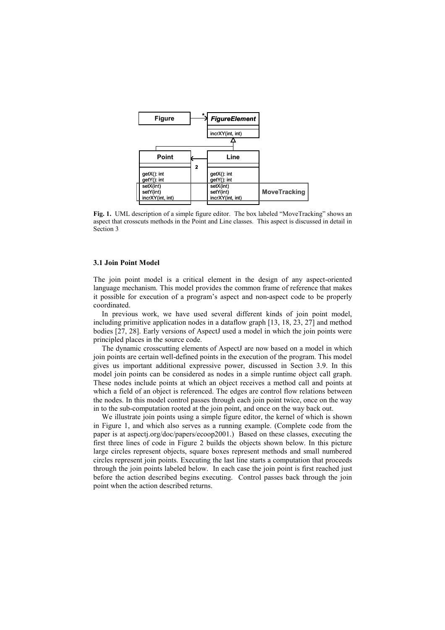

Fig. 1. UML description of a simple figure editor. The box labeled "MoveTracking" shows an aspect that crosscuts methods in the Point and Line classes. This aspect is discussed in detail in Section 3

## **3.1 Join Point Model**

The join point model is a critical element in the design of any aspect-oriented language mechanism. This model provides the common frame of reference that makes it possible for execution of a program's aspect and non-aspect code to be properly coordinated.

In previous work, we have used several different kinds of join point model, including primitive application nodes in a dataflow graph [13, 18, 23, 27] and method bodies [27, 28]. Early versions of AspectJ used a model in which the join points were principled places in the source code.

The dynamic crosscutting elements of AspectJ are now based on a model in which join points are certain well-defined points in the execution of the program. This model gives us important additional expressive power, discussed in Section 3.9. In this model join points can be considered as nodes in a simple runtime object call graph. These nodes include points at which an object receives a method call and points at which a field of an object is referenced. The edges are control flow relations between the nodes. In this model control passes through each join point twice, once on the way in to the sub-computation rooted at the join point, and once on the way back out.

We illustrate join points using a simple figure editor, the kernel of which is shown in Figure 1, and which also serves as a running example. (Complete code from the paper is at aspectj.org/doc/papers/ecoop2001.) Based on these classes, executing the first three lines of code in Figure 2 builds the objects shown below. In this picture large circles represent objects, square boxes represent methods and small numbered circles represent join points. Executing the last line starts a computation that proceeds through the join points labeled below. In each case the join point is first reached just before the action described begins executing. Control passes back through the join point when the action described returns.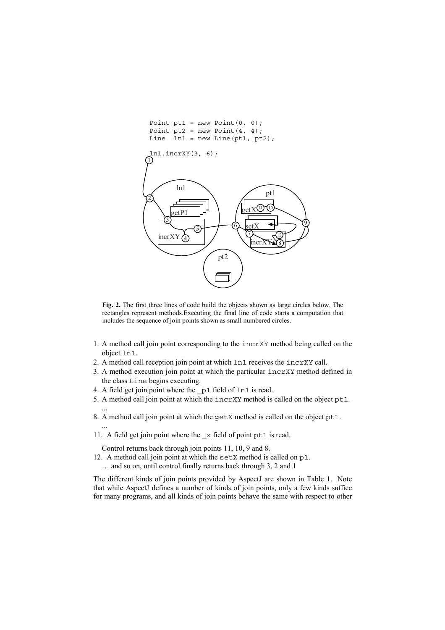

**Fig. 2.** The first three lines of code build the objects shown as large circles below. The rectangles represent methods.Executing the final line of code starts a computation that includes the sequence of join points shown as small numbered circles.

- 1. A method call join point corresponding to the incrXY method being called on the object ln1.
- 2. A method call reception join point at which ln1 receives the incrXY call.
- 3. A method execution join point at which the particular incrXY method defined in the class Line begins executing.
- 4. A field get join point where the \_p1 field of ln1 is read.

...

...

- 5. A method call join point at which the incrXY method is called on the object pt1.
- 8. A method call join point at which the getX method is called on the object pt1.
- 11. A field get join point where the  $\mathbf x$  field of point pt1 is read.

Control returns back through join points 11, 10, 9 and 8.

- 12. A method call join point at which the setX method is called on p1.
	- … and so on, until control finally returns back through 3, 2 and 1

The different kinds of join points provided by AspectJ are shown in Table 1. Note that while AspectJ defines a number of kinds of join points, only a few kinds suffice for many programs, and all kinds of join points behave the same with respect to other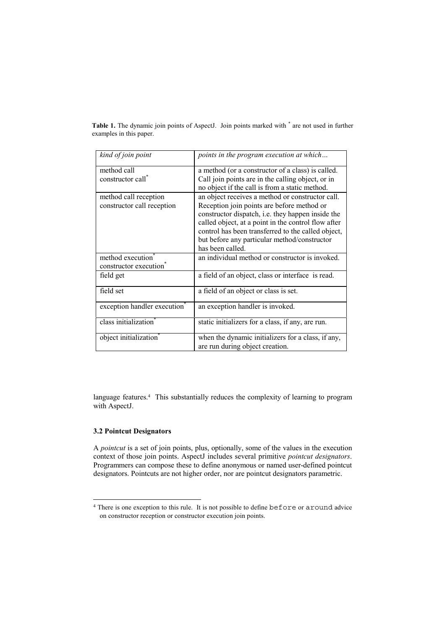| kind of join point                                                  | points in the program execution at which                                                                                                                                                                                                                                                                                             |
|---------------------------------------------------------------------|--------------------------------------------------------------------------------------------------------------------------------------------------------------------------------------------------------------------------------------------------------------------------------------------------------------------------------------|
| method call<br>constructor call <sup>*</sup>                        | a method (or a constructor of a class) is called.<br>Call join points are in the calling object, or in<br>no object if the call is from a static method.                                                                                                                                                                             |
| method call reception<br>constructor call reception                 | an object receives a method or constructor call.<br>Reception join points are before method or<br>constructor dispatch, i.e. they happen inside the<br>called object, at a point in the control flow after<br>control has been transferred to the called object,<br>but before any particular method/constructor<br>has been called. |
| method execution <sup>*</sup><br>constructor execution <sup>7</sup> | an individual method or constructor is invoked.                                                                                                                                                                                                                                                                                      |
| field get                                                           | a field of an object, class or interface is read.                                                                                                                                                                                                                                                                                    |
| field set                                                           | a field of an object or class is set.                                                                                                                                                                                                                                                                                                |
| exception handler execution <sup>®</sup>                            | an exception handler is invoked.                                                                                                                                                                                                                                                                                                     |
| class initialization <sup>®</sup>                                   | static initializers for a class, if any, are run.                                                                                                                                                                                                                                                                                    |
| object initialization <sup>*</sup>                                  | when the dynamic initializers for a class, if any,<br>are run during object creation.                                                                                                                                                                                                                                                |

Table 1. The dynamic join points of AspectJ. Join points marked with  $*$  are not used in further examples in this paper.

language features.<sup>4</sup> This substantially reduces the complexity of learning to program with AspectJ.

# **3.2 Pointcut Designators**

l

A *pointcut* is a set of join points, plus, optionally, some of the values in the execution context of those join points. AspectJ includes several primitive *pointcut designators*. Programmers can compose these to define anonymous or named user-defined pointcut designators. Pointcuts are not higher order, nor are pointcut designators parametric.

<sup>4</sup> There is one exception to this rule. It is not possible to define before or around advice on constructor reception or constructor execution join points.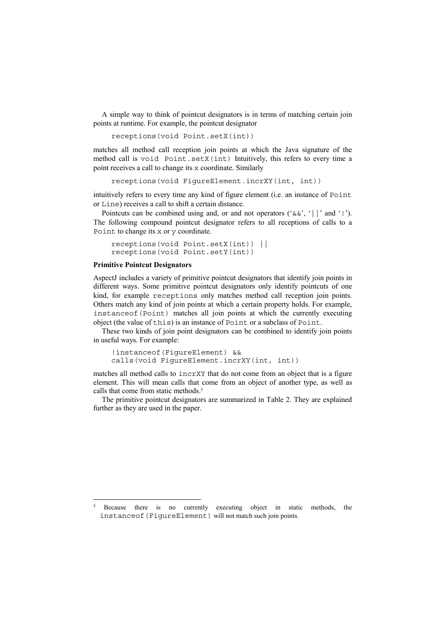A simple way to think of pointcut designators is in terms of matching certain join points at runtime. For example, the pointcut designator

```
receptions(void Point.setX(int))
```
matches all method call reception join points at which the Java signature of the method call is void Point.setX(int) Intuitively, this refers to every time a point receives a call to change its x coordinate. Similarly

```
receptions(void FigureElement.incrXY(int, int))
```
intuitively refers to every time any kind of figure element (i.e. an instance of Point or Line) receives a call to shift a certain distance.

Pointcuts can be combined using and, or and not operators (' $\&\&$ ', '||' and '!'). The following compound pointcut designator refers to all receptions of calls to a Point to change its x or y coordinate.

```
receptions(void Point.setX(int)) ||
receptions(void Point.setY(int))
```
### **Primitive Pointcut Designators**

l

AspectJ includes a variety of primitive pointcut designators that identify join points in different ways. Some primitive pointcut designators only identify pointcuts of one kind, for example receptions only matches method call reception join points. Others match any kind of join points at which a certain property holds. For example, instanceof(Point) matches all join points at which the currently executing object (the value of this) is an instance of Point or a subclass of Point.

These two kinds of join point designators can be combined to identify join points in useful ways. For example:

```
!instanceof(FigureElement) &&
calls(void FigureElement.incrXY(int, int))
```
matches all method calls to incrXY that do not come from an object that is a figure element. This will mean calls that come from an object of another type, as well as calls that come from static methods.<sup>5</sup>

The primitive pointcut designators are summarized in Table 2. They are explained further as they are used in the paper.

<sup>5</sup> Because there is no currently executing object in static methods, the instanceof(FigureElement) will not match such join points.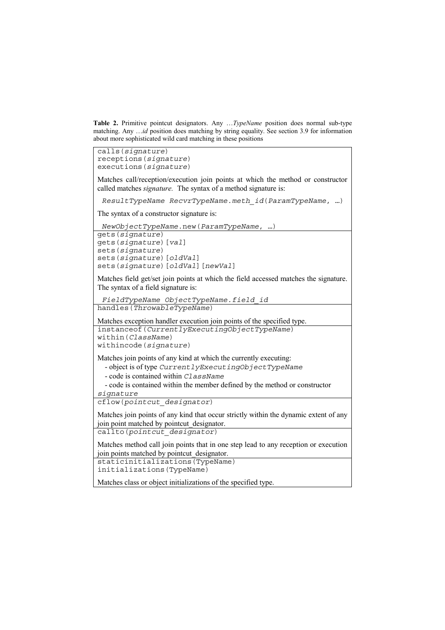**Table 2.** Primitive pointcut designators. Any …*TypeName* position does normal sub-type matching. Any …*id* position does matching by string equality. See section 3.9 for information about more sophisticated wild card matching in these positions

```
calls(signature)
receptions(signature)
executions(signature)
Matches call/reception/execution join points at which the method or constructor 
called matches signature. The syntax of a method signature is: 
 ResultTypeName RecvrTypeName.meth_id(ParamTypeName, …)
The syntax of a constructor signature is: 
NewObjectTypeName.new(ParamTypeName, …)
gets(signature)
gets(signature)[val]
sets(signature)
sets(signature)[oldVal]
sets(signature)[oldVal][newVal]
Matches field get/set join points at which the field accessed matches the signature. 
The syntax of a field signature is: 
 FieldTypeName ObjectTypeName.field_id
handles(ThrowableTypeName)
Matches exception handler execution join points of the specified type. 
instanceof(CurrentlyExecutingObjectTypeName)
within(ClassName)
withincode(signature)
Matches join points of any kind at which the currently executing: 
   - object is of type CurrentlyExecutingObjectTypeName
   - code is contained within ClassName
   - code is contained within the member defined by the method or constructor 
signature
cflow(pointcut_designator)
Matches join points of any kind that occur strictly within the dynamic extent of any 
join point matched by pointcut_designator. 
callto(pointcut_designator)
Matches method call join points that in one step lead to any reception or execution 
join points matched by pointcut_designator. 
staticinitializations(TypeName)
initializations(TypeName)
```
Matches class or object initializations of the specified type.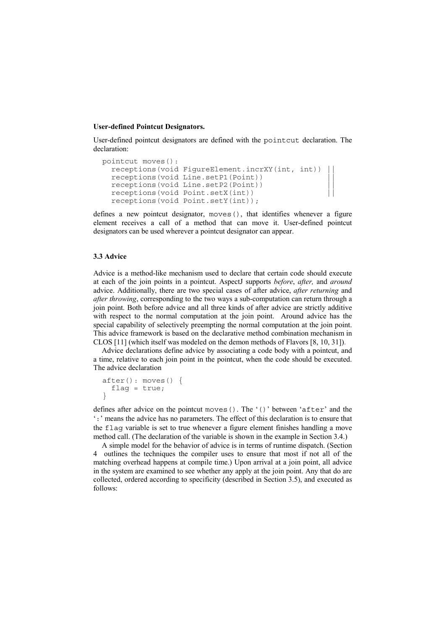## **User-defined Pointcut Designators.**

User-defined pointcut designators are defined with the pointcut declaration. The declaration:

```
pointcut moves():
  receptions(void FigureElement.incrXY(int, int)) ||
  receptions(void Line.setP1(Point)) ||
  receptions(void Line.setP2(Point)) ||
  receptions(void Point.setX(int)) ||
  receptions(void Point.setY(int));
```
defines a new pointcut designator, moves(), that identifies whenever a figure element receives a call of a method that can move it. User-defined pointcut designators can be used wherever a pointcut designator can appear.

## **3.3 Advice**

Advice is a method-like mechanism used to declare that certain code should execute at each of the join points in a pointcut. AspectJ supports *before*, *after,* and *around*  advice. Additionally, there are two special cases of after advice, *after returning* and *after throwing*, corresponding to the two ways a sub-computation can return through a join point. Both before advice and all three kinds of after advice are strictly additive with respect to the normal computation at the join point. Around advice has the special capability of selectively preempting the normal computation at the join point. This advice framework is based on the declarative method combination mechanism in CLOS [11] (which itself was modeled on the demon methods of Flavors [8, 10, 31]).

Advice declarations define advice by associating a code body with a pointcut, and a time, relative to each join point in the pointcut, when the code should be executed. The advice declaration

```
after(): moves() {
  flag = true;}
```
defines after advice on the pointcut moves(). The '()' between 'after' and the ':' means the advice has no parameters. The effect of this declaration is to ensure that the flag variable is set to true whenever a figure element finishes handling a move method call. (The declaration of the variable is shown in the example in Section 3.4.)

A simple model for the behavior of advice is in terms of runtime dispatch. (Section 4 outlines the techniques the compiler uses to ensure that most if not all of the matching overhead happens at compile time.) Upon arrival at a join point, all advice in the system are examined to see whether any apply at the join point. Any that do are collected, ordered according to specificity (described in Section 3.5), and executed as follows: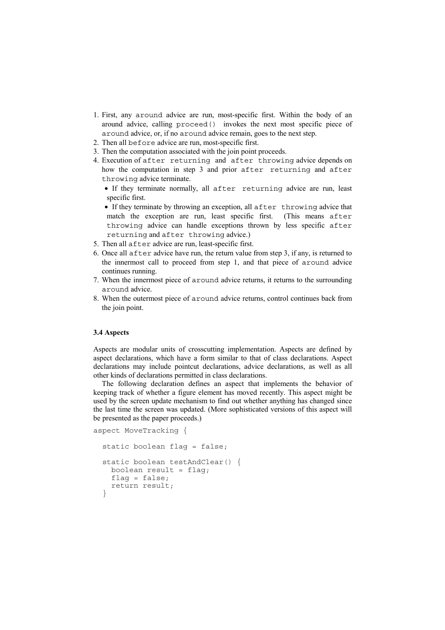- 1. First, any around advice are run, most-specific first. Within the body of an around advice, calling proceed() invokes the next most specific piece of around advice, or, if no around advice remain, goes to the next step.
- 2. Then all before advice are run, most-specific first.
- 3. Then the computation associated with the join point proceeds.
- 4. Execution of after returning and after throwing advice depends on how the computation in step 3 and prior after returning and after throwing advice terminate.
	- If they terminate normally, all after returning advice are run, least specific first.
	- If they terminate by throwing an exception, all after throwing advice that match the exception are run, least specific first. (This means after throwing advice can handle exceptions thrown by less specific after returning and after throwing advice.)
- 5. Then all after advice are run, least-specific first.
- 6. Once all after advice have run, the return value from step 3, if any, is returned to the innermost call to proceed from step 1, and that piece of around advice continues running.
- 7. When the innermost piece of around advice returns, it returns to the surrounding around advice.
- 8. When the outermost piece of around advice returns, control continues back from the join point.

# **3.4 Aspects**

Aspects are modular units of crosscutting implementation. Aspects are defined by aspect declarations, which have a form similar to that of class declarations. Aspect declarations may include pointcut declarations, advice declarations, as well as all other kinds of declarations permitted in class declarations.

The following declaration defines an aspect that implements the behavior of keeping track of whether a figure element has moved recently. This aspect might be used by the screen update mechanism to find out whether anything has changed since the last time the screen was updated. (More sophisticated versions of this aspect will be presented as the paper proceeds.)

```
aspect MoveTracking {
 static boolean flag = false;
 static boolean testAndClear() {
   boolean result = flag;flag = false;
   return result;
 }
```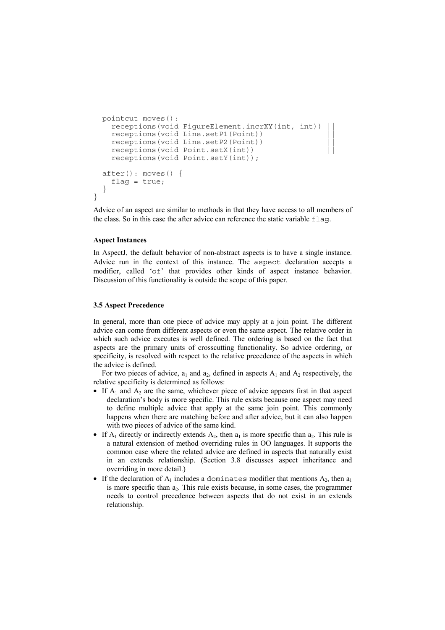```
pointcut moves():
  receptions(void FigureElement.incrXY(int, int)) ||
  receptions(void Line.setP1(Point)) ||
  receptions(void Line.setP2(Point)) ||
  receptions(void Point.setX(int)) ||
  receptions(void Point.setY(int));
after(): moves()flag = true;}
```
Advice of an aspect are similar to methods in that they have access to all members of the class. So in this case the after advice can reference the static variable flag.

## **Aspect Instances**

}

In AspectJ, the default behavior of non-abstract aspects is to have a single instance. Advice run in the context of this instance. The aspect declaration accepts a modifier, called 'of' that provides other kinds of aspect instance behavior. Discussion of this functionality is outside the scope of this paper.

## **3.5 Aspect Precedence**

In general, more than one piece of advice may apply at a join point. The different advice can come from different aspects or even the same aspect. The relative order in which such advice executes is well defined. The ordering is based on the fact that aspects are the primary units of crosscutting functionality. So advice ordering, or specificity, is resolved with respect to the relative precedence of the aspects in which the advice is defined.

For two pieces of advice,  $a_1$  and  $a_2$ , defined in aspects  $A_1$  and  $A_2$  respectively, the relative specificity is determined as follows:

- If  $A_1$  and  $A_2$  are the same, whichever piece of advice appears first in that aspect declaration's body is more specific. This rule exists because one aspect may need to define multiple advice that apply at the same join point. This commonly happens when there are matching before and after advice, but it can also happen with two pieces of advice of the same kind.
- If  $A_1$  directly or indirectly extends  $A_2$ , then  $a_1$  is more specific than  $a_2$ . This rule is a natural extension of method overriding rules in OO languages. It supports the common case where the related advice are defined in aspects that naturally exist in an extends relationship. (Section 3.8 discusses aspect inheritance and overriding in more detail.)
- If the declaration of  $A_1$  includes a dominates modifier that mentions  $A_2$ , then  $a_1$ is more specific than  $a_2$ . This rule exists because, in some cases, the programmer needs to control precedence between aspects that do not exist in an extends relationship.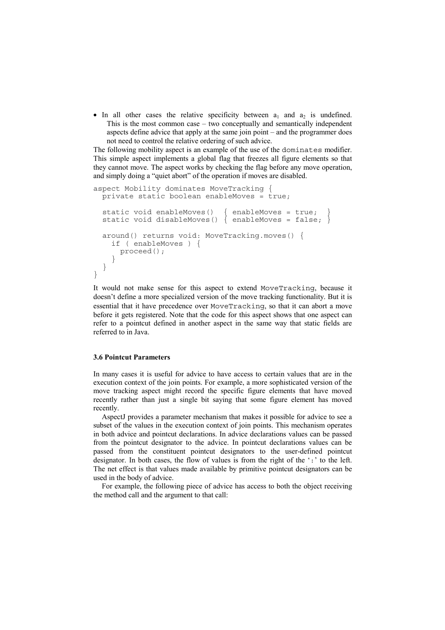• In all other cases the relative specificity between  $a_1$  and  $a_2$  is undefined. This is the most common case – two conceptually and semantically independent aspects define advice that apply at the same join point – and the programmer does not need to control the relative ordering of such advice.

The following mobility aspect is an example of the use of the dominates modifier. This simple aspect implements a global flag that freezes all figure elements so that they cannot move. The aspect works by checking the flag before any move operation, and simply doing a "quiet abort" of the operation if moves are disabled.

```
aspect Mobility dominates MoveTracking {
 private static boolean enableMoves = true;
  static void enableMoves() { enableMoves = true;
  static void disableMoves() \hat{\xi} enableMoves = false; \hat{\xi}around() returns void: MoveTracking.moves() {
    if ( enableMoves ) {
      proceed();
    }
  }
}
```
It would not make sense for this aspect to extend MoveTracking, because it doesn't define a more specialized version of the move tracking functionality. But it is essential that it have precedence over MoveTracking, so that it can abort a move before it gets registered. Note that the code for this aspect shows that one aspect can refer to a pointcut defined in another aspect in the same way that static fields are referred to in Java.

# **3.6 Pointcut Parameters**

In many cases it is useful for advice to have access to certain values that are in the execution context of the join points. For example, a more sophisticated version of the move tracking aspect might record the specific figure elements that have moved recently rather than just a single bit saying that some figure element has moved recently.

AspectJ provides a parameter mechanism that makes it possible for advice to see a subset of the values in the execution context of join points. This mechanism operates in both advice and pointcut declarations. In advice declarations values can be passed from the pointcut designator to the advice. In pointcut declarations values can be passed from the constituent pointcut designators to the user-defined pointcut designator. In both cases, the flow of values is from the right of the ':' to the left. The net effect is that values made available by primitive pointcut designators can be used in the body of advice.

For example, the following piece of advice has access to both the object receiving the method call and the argument to that call: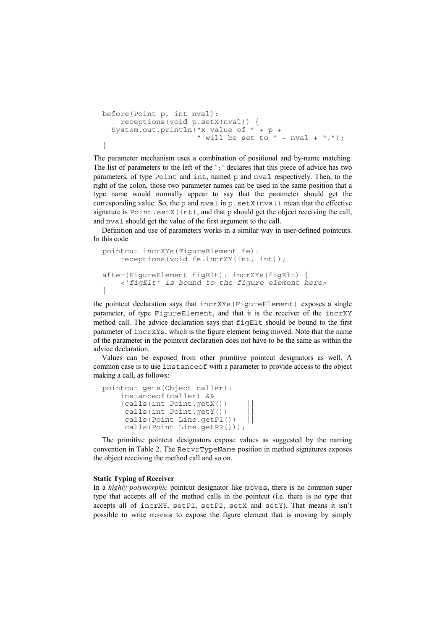```
before(Point p, int nval):
    receptions(void p.setX(nval)) {
  System.out.println("x value of " + p +" will be set to '' + nval + ".';
}
```
The parameter mechanism uses a combination of positional and by-name matching. The list of parameters to the left of the ': ' declares that this piece of advice has two parameters, of type Point and int, named p and nval respectively. Then, to the right of the colon, those two parameter names can be used in the same position that a type name would normally appear to say that the parameter should get the corresponding value. So, the p and  $nval$  in p. setX( $nval$ ) mean that the effective signature is  $Point.setX(int)$ , and that p should get the object receiving the call, and nval should get the value of the first argument to the call.

Definition and use of parameters works in a similar way in user-defined pointcuts. In this code

```
pointcut incrXYs(FigureElement fe):
    receptions(void fe.incrXY(int, int));
after(FigureElement figElt): incrXYs(figElt) {
    <'figElt' is bound to the figure element here>
}
```
the pointcut declaration says that incrXYs(FigureElement) exposes a single parameter, of type FigureElement, and that it is the receiver of the incrXY method call. The advice declaration says that figElt should be bound to the first parameter of incrXYs, which is the figure element being moved. Note that the name of the parameter in the pointcut declaration does not have to be the same as within the advice declaration.

Values can be exposed from other primitive pointcut designators as well. A common case is to use instanceof with a parameter to provide access to the object making a call, as follows:

```
pointcut gets(Object caller):
    instanceof(caller) &&
    (calls(int Point.getX()) ||
     calls(int Point.getY()) ||
     calls(Point Line.getP1()) ||
     calls(Point Line.getP2()));
```
The primitive pointcut designators expose values as suggested by the naming convention in Table 2. The RecvrTypeName position in method signatures exposes the object receiving the method call and so on.

# **Static Typing of Receiver**

In a *highly polymorphic* pointcut designator like moves, there is no common super type that accepts all of the method calls in the pointcut (i.e. there is no type that accepts all of incrXY, setP1, setP2, setX and setY). That means it isn't possible to write moves to expose the figure element that is moving by simply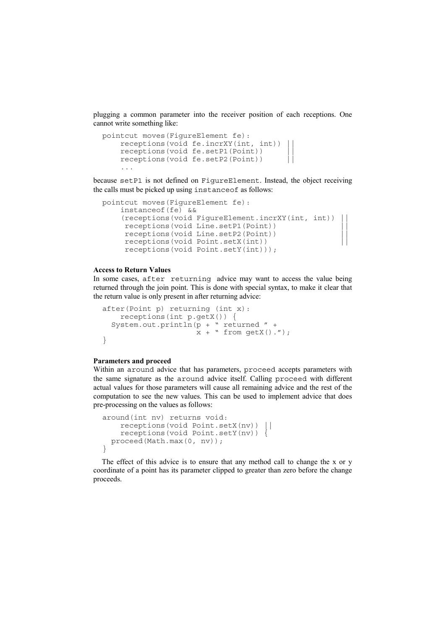plugging a common parameter into the receiver position of each receptions. One cannot write something like:

```
pointcut moves(FigureElement fe):
    receptions(void fe.incrXY(int, int)) ||
    receptions(void fe.setP1(Point)) ||
    receptions(void fe.setP2(Point)) ||
    ...
```
because setP1 is not defined on FigureElement. Instead, the object receiving the calls must be picked up using instanceof as follows:

```
pointcut moves(FigureElement fe):
    instanceof(fe) &&
    (receptions(void FigureElement.incrXY(int, int)) ||
     receptions(void Line.setP1(Point)) ||
     receptions(void Line.setP2(Point)) ||
     receptions(void Point.setX(int)) ||
     receptions(void Point.setY(int)));
```
#### **Access to Return Values**

In some cases, after returning advice may want to access the value being returned through the join point. This is done with special syntax, to make it clear that the return value is only present in after returning advice:

```
after(Point p) returning (int x):
   receptions(int p.getX()) {
  System.out.println(p + " returned " +
                     x + " from getX().";
}
```
#### **Parameters and proceed**

Within an around advice that has parameters, proceed accepts parameters with the same signature as the around advice itself. Calling proceed with different actual values for those parameters will cause all remaining advice and the rest of the computation to see the new values. This can be used to implement advice that does pre-processing on the values as follows:

```
around(int nv) returns void:
    receptions(void Point.setX(nv)) ||
    receptions(void Point.setY(nv)) {
 proceed(Math.max(0, nv));
}
```
The effect of this advice is to ensure that any method call to change the x or y coordinate of a point has its parameter clipped to greater than zero before the change proceeds.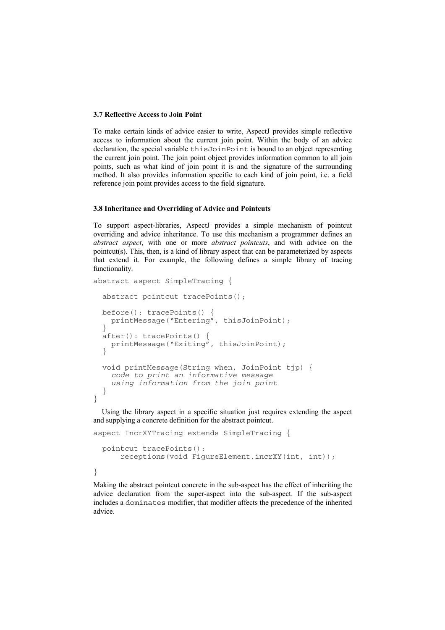### **3.7 Reflective Access to Join Point**

To make certain kinds of advice easier to write, AspectJ provides simple reflective access to information about the current join point. Within the body of an advice declaration, the special variable thisJoinPoint is bound to an object representing the current join point. The join point object provides information common to all join points, such as what kind of join point it is and the signature of the surrounding method. It also provides information specific to each kind of join point, i.e. a field reference join point provides access to the field signature.

## **3.8 Inheritance and Overriding of Advice and Pointcuts**

To support aspect-libraries, AspectJ provides a simple mechanism of pointcut overriding and advice inheritance. To use this mechanism a programmer defines an *abstract aspect*, with one or more *abstract pointcuts*, and with advice on the pointcut(s). This, then, is a kind of library aspect that can be parameterized by aspects that extend it. For example, the following defines a simple library of tracing functionality.

```
abstract aspect SimpleTracing {
 abstract pointcut tracePoints();
 before(): tracePoints() {
   printMessage("Entering", thisJoinPoint);
  }
 after(): tracePoints() {
   printMessage("Exiting", thisJoinPoint);
 }
 void printMessage(String when, JoinPoint tjp) {
    code to print an informative message
    using information from the join point
  }
}
```
Using the library aspect in a specific situation just requires extending the aspect and supplying a concrete definition for the abstract pointcut.

```
aspect IncrXYTracing extends SimpleTracing {
 pointcut tracePoints():
     receptions(void FigureElement.incrXY(int, int));
```
}

Making the abstract pointcut concrete in the sub-aspect has the effect of inheriting the advice declaration from the super-aspect into the sub-aspect. If the sub-aspect includes a dominates modifier, that modifier affects the precedence of the inherited advice.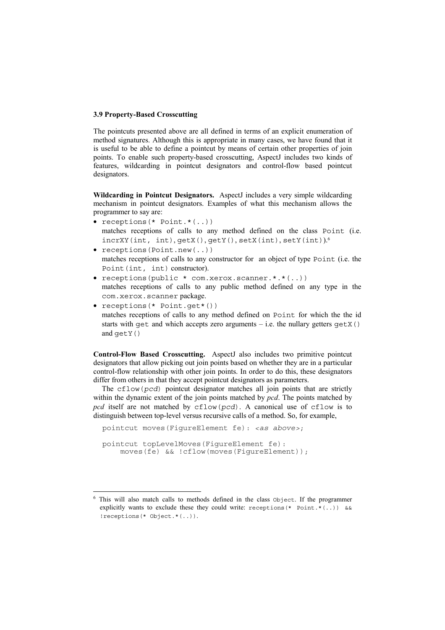### **3.9 Property-Based Crosscutting**

The pointcuts presented above are all defined in terms of an explicit enumeration of method signatures. Although this is appropriate in many cases, we have found that it is useful to be able to define a pointcut by means of certain other properties of join points. To enable such property-based crosscutting, AspectJ includes two kinds of features, wildcarding in pointcut designators and control-flow based pointcut designators.

**Wildcarding in Pointcut Designators.** AspectJ includes a very simple wildcarding mechanism in pointcut designators. Examples of what this mechanism allows the programmer to say are:

- receptions(\* Point.\*(..)) matches receptions of calls to any method defined on the class Point (i.e. incrXY(int, int), getX(), getY(), setX(int), setY(int)).6
- receptions(Point.new(..)) matches receptions of calls to any constructor for an object of type Point (i.e. the Point(int, int) constructor).
- receptions(public \* com.xerox.scanner.\*.\*(..)) matches receptions of calls to any public method defined on any type in the com.xerox.scanner package.
- receptions(\* Point.get\*()) matches receptions of calls to any method defined on Point for which the the id starts with get and which accepts zero arguments – i.e. the nullary getters get  $X()$ and getY()

**Control-Flow Based Crosscutting.** AspectJ also includes two primitive pointcut designators that allow picking out join points based on whether they are in a particular control-flow relationship with other join points. In order to do this, these designators differ from others in that they accept pointcut designators as parameters.

The cflow(*pcd*) pointcut designator matches all join points that are strictly within the dynamic extent of the join points matched by *pcd*. The points matched by *pcd* itself are not matched by cflow(*pcd*). A canonical use of cflow is to distinguish between top-level versus recursive calls of a method. So, for example,

```
pointcut moves(FigureElement fe): <as above>;
pointcut topLevelMoves(FigureElement fe):
    moves(fe) && !cflow(moves(FigureElement));
```
l

<sup>6</sup> This will also match calls to methods defined in the class Object. If the programmer explicitly wants to exclude these they could write: receptions(\* Point.\*(..)) && !receptions(\* Object.\*(..)).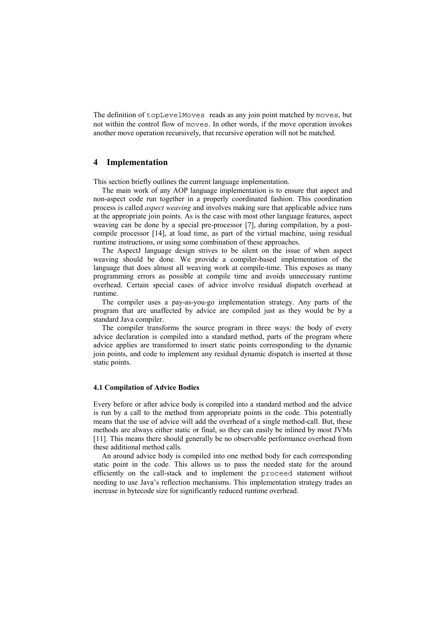The definition of topLevelMoves reads as any join point matched by moves, but not within the control flow of moves. In other words, if the move operation invokes another move operation recursively, that recursive operation will not be matched.

# **4 Implementation**

This section briefly outlines the current language implementation.

The main work of any AOP language implementation is to ensure that aspect and non-aspect code run together in a properly coordinated fashion. This coordination process is called *aspect weaving* and involves making sure that applicable advice runs at the appropriate join points. As is the case with most other language features, aspect weaving can be done by a special pre-processor [7], during compilation, by a postcompile processor [14], at load time, as part of the virtual machine, using residual runtime instructions, or using some combination of these approaches.

The AspectJ language design strives to be silent on the issue of when aspect weaving should be done. We provide a compiler-based implementation of the language that does almost all weaving work at compile-time. This exposes as many programming errors as possible at compile time and avoids unnecessary runtime overhead. Certain special cases of advice involve residual dispatch overhead at runtime.

The compiler uses a pay-as-you-go implementation strategy. Any parts of the program that are unaffected by advice are compiled just as they would be by a standard Java compiler.

The compiler transforms the source program in three ways: the body of every advice declaration is compiled into a standard method, parts of the program where advice applies are transformed to insert static points corresponding to the dynamic join points, and code to implement any residual dynamic dispatch is inserted at those static points.

#### **4.1 Compilation of Advice Bodies**

Every before or after advice body is compiled into a standard method and the advice is run by a call to the method from appropriate points in the code. This potentially means that the use of advice will add the overhead of a single method-call. But, these methods are always either static or final, so they can easily be inlined by most JVMs [11]. This means there should generally be no observable performance overhead from these additional method calls.

An around advice body is compiled into one method body for each corresponding static point in the code. This allows us to pass the needed state for the around efficiently on the call-stack and to implement the proceed statement without needing to use Java's reflection mechanisms. This implementation strategy trades an increase in bytecode size for significantly reduced runtime overhead.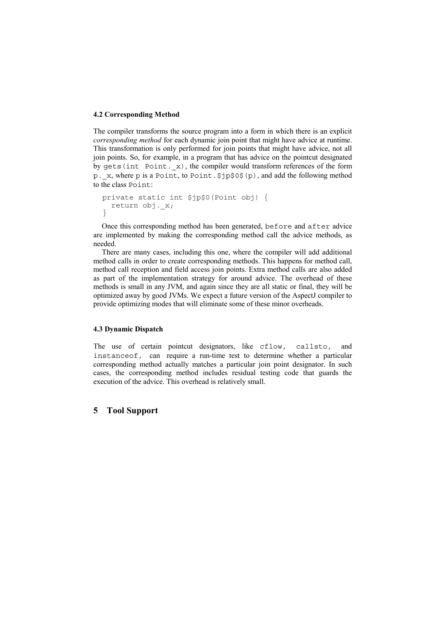## **4.2 Corresponding Method**

The compiler transforms the source program into a form in which there is an explicit *corresponding method* for each dynamic join point that might have advice at runtime. This transformation is only performed for join points that might have advice, not all join points. So, for example, in a program that has advice on the pointcut designated by gets(int Point.\_x), the compiler would transform references of the form p.\_x, where p is a Point, to Point.\$jp\$0\$(p), and add the following method to the class Point:

```
private static int $jp$0(Point obj) {
 return obj._x;
}
```
Once this corresponding method has been generated, before and after advice are implemented by making the corresponding method call the advice methods, as needed.

There are many cases, including this one, where the compiler will add additional method calls in order to create corresponding methods. This happens for method call, method call reception and field access join points. Extra method calls are also added as part of the implementation strategy for around advice. The overhead of these methods is small in any JVM, and again since they are all static or final, they will be optimized away by good JVMs. We expect a future version of the AspectJ compiler to provide optimizing modes that will eliminate some of these minor overheads.

## **4.3 Dynamic Dispatch**

The use of certain pointcut designators, like cflow, callsto, and instanceof, can require a run-time test to determine whether a particular corresponding method actually matches a particular join point designator. In such cases, the corresponding method includes residual testing code that guards the execution of the advice. This overhead is relatively small.

# **5 Tool Support**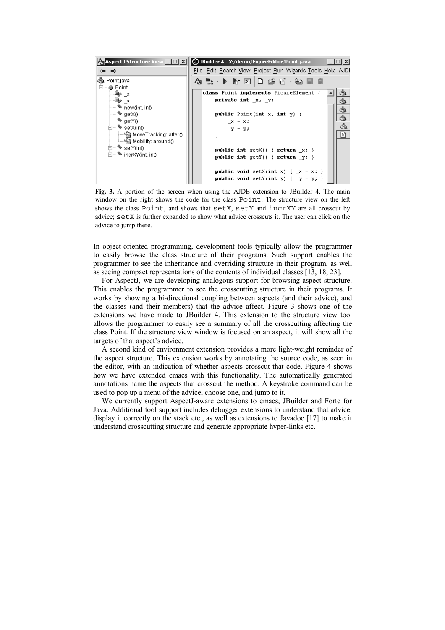| <b>A</b> Aspect J Structure View $\boxed{\square}$ $\boxed{\square}$<br>⇔ ⇔<br>Point.java<br>⊟… ⊜ Point | <b>4</b> JBuilder 4 - X:/demo/FigureEditor/Point.java<br>File Edit Search View Project Run Wizards Tools Help AJDE | $  $ $\Box$ $\times$ $ $ |
|---------------------------------------------------------------------------------------------------------|--------------------------------------------------------------------------------------------------------------------|--------------------------|
| ⊱— ¤⊉⊳ x<br>⊢Q⊢v<br>$\longmapsto$ new(int, int)<br>$\rightarrow$ qetX0<br>i— ♦ aetY0<br>白… → setX(int)  | class Point implements FigureElement {<br>private int $x, y$ ;                                                     |                          |
|                                                                                                         | <b>public</b> Point(int $x$ , int $y$ ) {<br>$X = X;$<br>$Y = Y$                                                   | Ġ                        |
| ं MoveTracking: after ()<br>ं— ‱े Mobility: around()<br>由… → setY(int)<br>È— → incrXY(int, int)         | <b>public int</b> $getX()$ { $return x;$ }<br><b>public int</b> $qetY()$ { <b>return</b> $y;$ }                    | 目                        |
|                                                                                                         | <b>public void setX(int x)</b> { $x = x$ ; }<br><b>public void setY(int y)</b> { $y = y$ ; }                       |                          |

**Fig. 3.** A portion of the screen when using the AJDE extension to JBuilder 4. The main window on the right shows the code for the class Point. The structure view on the left shows the class Point, and shows that setX, setY and incrXY are all crosscut by advice; setX is further expanded to show what advice crosscuts it. The user can click on the advice to jump there.

In object-oriented programming, development tools typically allow the programmer to easily browse the class structure of their programs. Such support enables the programmer to see the inheritance and overriding structure in their program, as well as seeing compact representations of the contents of individual classes [13, 18, 23].

For AspectJ, we are developing analogous support for browsing aspect structure. This enables the programmer to see the crosscutting structure in their programs. It works by showing a bi-directional coupling between aspects (and their advice), and the classes (and their members) that the advice affect. Figure 3 shows one of the extensions we have made to JBuilder 4. This extension to the structure view tool allows the programmer to easily see a summary of all the crosscutting affecting the class Point. If the structure view window is focused on an aspect, it will show all the targets of that aspect's advice.

A second kind of environment extension provides a more light-weight reminder of the aspect structure. This extension works by annotating the source code, as seen in the editor, with an indication of whether aspects crosscut that code. Figure 4 shows how we have extended emacs with this functionality. The automatically generated annotations name the aspects that crosscut the method. A keystroke command can be used to pop up a menu of the advice, choose one, and jump to it.

We currently support AspectJ-aware extensions to emacs, JBuilder and Forte for Java. Additional tool support includes debugger extensions to understand that advice, display it correctly on the stack etc., as well as extensions to Javadoc [17] to make it understand crosscutting structure and generate appropriate hyper-links etc.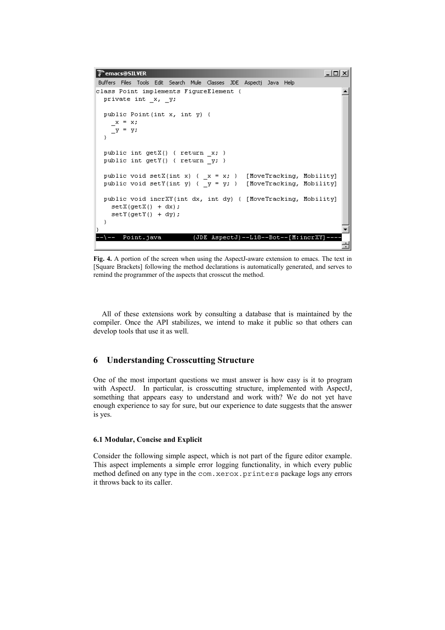```
<sup>n</sup>emacs@SILVER
                                                                                        -|\Box| \times|
Buffers Files Tools Edit Search Mule Classes JDE Aspectj Java Help
class Point implements FigureElement {
  private int _x, _y:
  public Point(int x, int y) {
     \mathbf{x} = \mathbf{x}_<br>_y = y;
  public int getX() { return x; }
  public int getY() { return y; }
  public void setX(int x) { \begin{array}{l} x = x; \\ y = y; \end{array} [MoveTracking, Mobility]<br>public void setY(int y) { \begin{array}{l} y = y; \\ y = y; \end{array} [MoveTracking, Mobility]
  public void incrXY(int dx, int dy) { [MoveTracking, Mobility]
     setX(getX() + dx);setY(getY() + dy);D
          Point.iava
                                     (JDE AspectJ)
```
**Fig. 4.** A portion of the screen when using the AspectJ-aware extension to emacs. The text in [Square Brackets] following the method declarations is automatically generated, and serves to remind the programmer of the aspects that crosscut the method.

All of these extensions work by consulting a database that is maintained by the compiler. Once the API stabilizes, we intend to make it public so that others can develop tools that use it as well.

# **6 Understanding Crosscutting Structure**

One of the most important questions we must answer is how easy is it to program with AspectJ. In particular, is crosscutting structure, implemented with AspectJ, something that appears easy to understand and work with? We do not yet have enough experience to say for sure, but our experience to date suggests that the answer is yes.

# **6.1 Modular, Concise and Explicit**

Consider the following simple aspect, which is not part of the figure editor example. This aspect implements a simple error logging functionality, in which every public method defined on any type in the com.xerox.printers package logs any errors it throws back to its caller.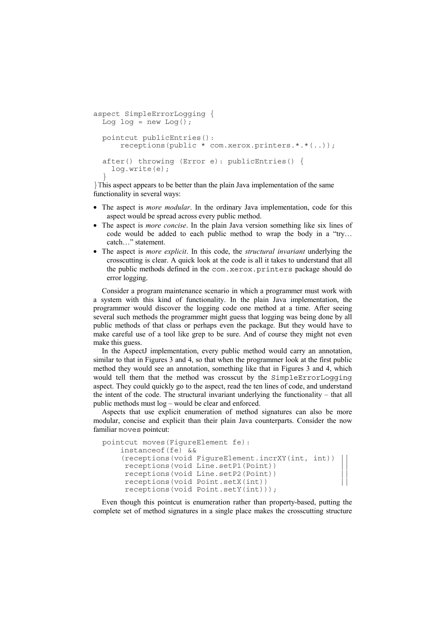```
aspect SimpleErrorLogging {
 Log log = new Log():
 pointcut publicEntries():
      receptions(public * com.xerox.printers.*.*(..));
 after() throwing (Error e): publicEntries() {
    log.write(e);
  }
```
}This aspect appears to be better than the plain Java implementation of the same functionality in several ways:

- The aspect is *more modular*. In the ordinary Java implementation, code for this aspect would be spread across every public method.
- The aspect is *more concise*. In the plain Java version something like six lines of code would be added to each public method to wrap the body in a "try… catch…" statement.
- The aspect is *more explicit*. In this code, the *structural invariant* underlying the crosscutting is clear. A quick look at the code is all it takes to understand that all the public methods defined in the com.xerox.printers package should do error logging.

Consider a program maintenance scenario in which a programmer must work with a system with this kind of functionality. In the plain Java implementation, the programmer would discover the logging code one method at a time. After seeing several such methods the programmer might guess that logging was being done by all public methods of that class or perhaps even the package. But they would have to make careful use of a tool like grep to be sure. And of course they might not even make this guess.

In the AspectJ implementation, every public method would carry an annotation, similar to that in Figures 3 and 4, so that when the programmer look at the first public method they would see an annotation, something like that in Figures 3 and 4, which would tell them that the method was crosscut by the SimpleErrorLogging aspect. They could quickly go to the aspect, read the ten lines of code, and understand the intent of the code. The structural invariant underlying the functionality – that all public methods must log – would be clear and enforced.

Aspects that use explicit enumeration of method signatures can also be more modular, concise and explicit than their plain Java counterparts. Consider the now familiar moves pointcut:

```
pointcut moves(FigureElement fe):
    instanceof(fe) &&
    (receptions(void FigureElement.incrXY(int, int)) ||
     receptions(void Line.setP1(Point)) ||
     receptions(void Line.setP2(Point)) ||
     receptions(void Point.setX(int)) ||
     receptions(void Point.setY(int)));
```
Even though this pointcut is enumeration rather than property-based, putting the complete set of method signatures in a single place makes the crosscutting structure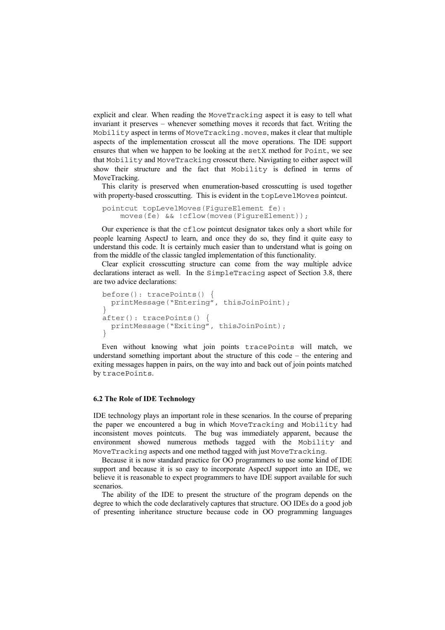explicit and clear. When reading the MoveTracking aspect it is easy to tell what invariant it preserves – whenever something moves it records that fact. Writing the Mobility aspect in terms of MoveTracking.moves, makes it clear that multiple aspects of the implementation crosscut all the move operations. The IDE support ensures that when we happen to be looking at the setX method for Point, we see that Mobility and MoveTracking crosscut there. Navigating to either aspect will show their structure and the fact that Mobility is defined in terms of MoveTracking.

This clarity is preserved when enumeration-based crosscutting is used together with property-based crosscutting. This is evident in the topLevelMoves pointcut.

```
pointcut topLevelMoves(FigureElement fe):
    moves(fe) && !cflow(moves(FigureElement));
```
Our experience is that the cflow pointcut designator takes only a short while for people learning AspectJ to learn, and once they do so, they find it quite easy to understand this code. It is certainly much easier than to understand what is going on from the middle of the classic tangled implementation of this functionality.

Clear explicit crosscutting structure can come from the way multiple advice declarations interact as well. In the SimpleTracing aspect of Section 3.8, there are two advice declarations:

```
before(): tracePoints() {
 printMessage("Entering", thisJoinPoint);
}
after(): tracePoints() {
 printMessage("Exiting", thisJoinPoint);
}
```
Even without knowing what join points tracePoints will match, we understand something important about the structure of this code – the entering and exiting messages happen in pairs, on the way into and back out of join points matched by tracePoints.

## **6.2 The Role of IDE Technology**

IDE technology plays an important role in these scenarios. In the course of preparing the paper we encountered a bug in which MoveTracking and Mobility had inconsistent moves pointcuts. The bug was immediately apparent, because the environment showed numerous methods tagged with the Mobility and MoveTracking aspects and one method tagged with just MoveTracking.

Because it is now standard practice for OO programmers to use some kind of IDE support and because it is so easy to incorporate AspectJ support into an IDE, we believe it is reasonable to expect programmers to have IDE support available for such scenarios.

The ability of the IDE to present the structure of the program depends on the degree to which the code declaratively captures that structure. OO IDEs do a good job of presenting inheritance structure because code in OO programming languages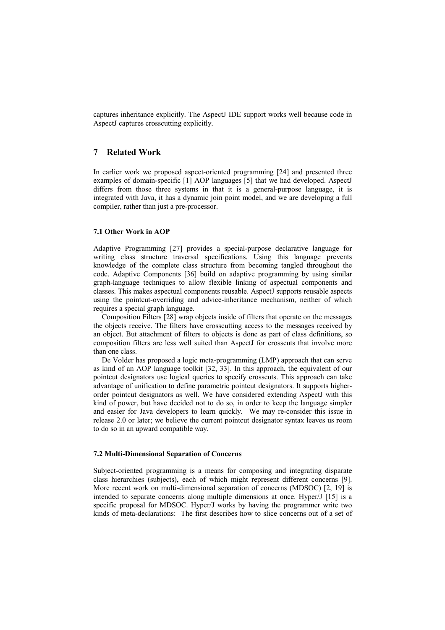captures inheritance explicitly. The AspectJ IDE support works well because code in AspectJ captures crosscutting explicitly.

# **7 Related Work**

In earlier work we proposed aspect-oriented programming [24] and presented three examples of domain-specific [1] AOP languages [5] that we had developed. AspectJ differs from those three systems in that it is a general-purpose language, it is integrated with Java, it has a dynamic join point model, and we are developing a full compiler, rather than just a pre-processor.

## **7.1 Other Work in AOP**

Adaptive Programming [27] provides a special-purpose declarative language for writing class structure traversal specifications. Using this language prevents knowledge of the complete class structure from becoming tangled throughout the code. Adaptive Components [36] build on adaptive programming by using similar graph-language techniques to allow flexible linking of aspectual components and classes. This makes aspectual components reusable. AspectJ supports reusable aspects using the pointcut-overriding and advice-inheritance mechanism, neither of which requires a special graph language.

Composition Filters [28] wrap objects inside of filters that operate on the messages the objects receive. The filters have crosscutting access to the messages received by an object. But attachment of filters to objects is done as part of class definitions, so composition filters are less well suited than AspectJ for crosscuts that involve more than one class.

De Volder has proposed a logic meta-programming (LMP) approach that can serve as kind of an AOP language toolkit [32, 33]. In this approach, the equivalent of our pointcut designators use logical queries to specify crosscuts. This approach can take advantage of unification to define parametric pointcut designators. It supports higherorder pointcut designators as well. We have considered extending AspectJ with this kind of power, but have decided not to do so, in order to keep the language simpler and easier for Java developers to learn quickly. We may re-consider this issue in release 2.0 or later; we believe the current pointcut designator syntax leaves us room to do so in an upward compatible way.

## **7.2 Multi-Dimensional Separation of Concerns**

Subject-oriented programming is a means for composing and integrating disparate class hierarchies (subjects), each of which might represent different concerns [9]. More recent work on multi-dimensional separation of concerns (MDSOC) [2, 19] is intended to separate concerns along multiple dimensions at once. Hyper/J [15] is a specific proposal for MDSOC. Hyper/J works by having the programmer write two kinds of meta-declarations: The first describes how to slice concerns out of a set of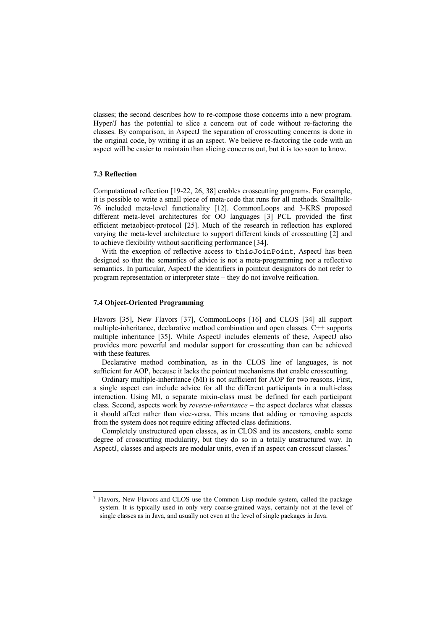classes; the second describes how to re-compose those concerns into a new program. Hyper/J has the potential to slice a concern out of code without re-factoring the classes. By comparison, in AspectJ the separation of crosscutting concerns is done in the original code, by writing it as an aspect. We believe re-factoring the code with an aspect will be easier to maintain than slicing concerns out, but it is too soon to know.

### **7.3 Reflection**

l

Computational reflection [19-22, 26, 38] enables crosscutting programs. For example, it is possible to write a small piece of meta-code that runs for all methods. Smalltalk-76 included meta-level functionality [12]. CommonLoops and 3-KRS proposed different meta-level architectures for OO languages [3] PCL provided the first efficient metaobject-protocol [25]. Much of the research in reflection has explored varying the meta-level architecture to support different kinds of crosscutting [2] and to achieve flexibility without sacrificing performance [34].

With the exception of reflective access to thisJoinPoint, AspectJ has been designed so that the semantics of advice is not a meta-programming nor a reflective semantics. In particular, AspectJ the identifiers in pointcut designators do not refer to program representation or interpreter state – they do not involve reification.

# **7.4 Object-Oriented Programming**

Flavors [35], New Flavors [37], CommonLoops [16] and CLOS [34] all support multiple-inheritance, declarative method combination and open classes. C++ supports multiple inheritance [35]. While AspectJ includes elements of these, AspectJ also provides more powerful and modular support for crosscutting than can be achieved with these features.

Declarative method combination, as in the CLOS line of languages, is not sufficient for AOP, because it lacks the pointcut mechanisms that enable crosscutting.

Ordinary multiple-inheritance (MI) is not sufficient for AOP for two reasons. First, a single aspect can include advice for all the different participants in a multi-class interaction. Using MI, a separate mixin-class must be defined for each participant class. Second, aspects work by *reverse-inheritance* – the aspect declares what classes it should affect rather than vice-versa. This means that adding or removing aspects from the system does not require editing affected class definitions.

Completely unstructured open classes, as in CLOS and its ancestors, enable some degree of crosscutting modularity, but they do so in a totally unstructured way. In AspectJ, classes and aspects are modular units, even if an aspect can crosscut classes.<sup>7</sup>

<sup>7</sup> Flavors, New Flavors and CLOS use the Common Lisp module system, called the package system. It is typically used in only very coarse-grained ways, certainly not at the level of single classes as in Java, and usually not even at the level of single packages in Java.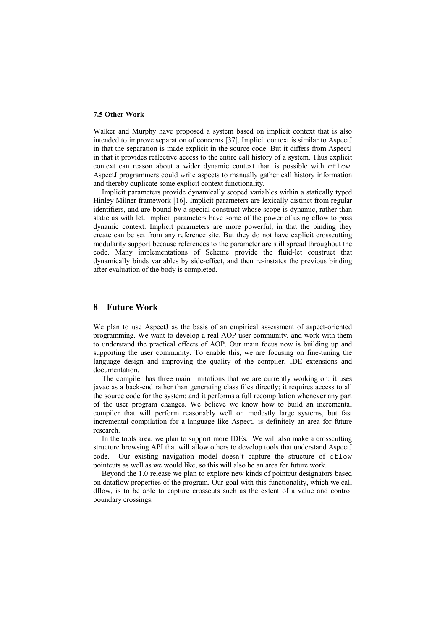## **7.5 Other Work**

Walker and Murphy have proposed a system based on implicit context that is also intended to improve separation of concerns [37]. Implicit context is similar to AspectJ in that the separation is made explicit in the source code. But it differs from AspectJ in that it provides reflective access to the entire call history of a system. Thus explicit context can reason about a wider dynamic context than is possible with cflow. AspectJ programmers could write aspects to manually gather call history information and thereby duplicate some explicit context functionality.

Implicit parameters provide dynamically scoped variables within a statically typed Hinley Milner framework [16]. Implicit parameters are lexically distinct from regular identifiers, and are bound by a special construct whose scope is dynamic, rather than static as with let. Implicit parameters have some of the power of using cflow to pass dynamic context. Implicit parameters are more powerful, in that the binding they create can be set from any reference site. But they do not have explicit crosscutting modularity support because references to the parameter are still spread throughout the code. Many implementations of Scheme provide the fluid-let construct that dynamically binds variables by side-effect, and then re-instates the previous binding after evaluation of the body is completed.

# **8 Future Work**

We plan to use AspectJ as the basis of an empirical assessment of aspect-oriented programming. We want to develop a real AOP user community, and work with them to understand the practical effects of AOP. Our main focus now is building up and supporting the user community. To enable this, we are focusing on fine-tuning the language design and improving the quality of the compiler, IDE extensions and documentation.

The compiler has three main limitations that we are currently working on: it uses javac as a back-end rather than generating class files directly; it requires access to all the source code for the system; and it performs a full recompilation whenever any part of the user program changes. We believe we know how to build an incremental compiler that will perform reasonably well on modestly large systems, but fast incremental compilation for a language like AspectJ is definitely an area for future research.

In the tools area, we plan to support more IDEs. We will also make a crosscutting structure browsing API that will allow others to develop tools that understand AspectJ code. Our existing navigation model doesn't capture the structure of cflow pointcuts as well as we would like, so this will also be an area for future work.

Beyond the 1.0 release we plan to explore new kinds of pointcut designators based on dataflow properties of the program. Our goal with this functionality, which we call dflow, is to be able to capture crosscuts such as the extent of a value and control boundary crossings.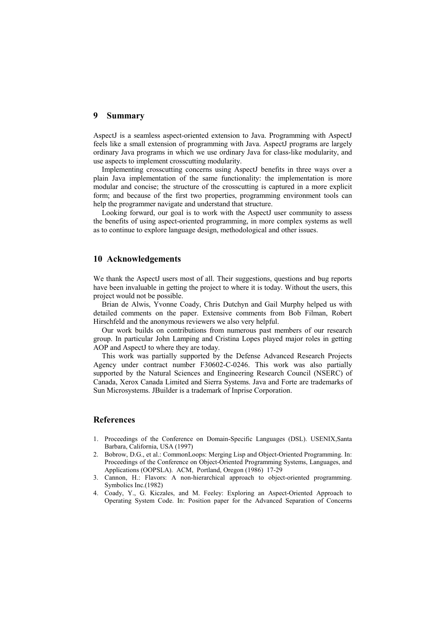# **9 Summary**

AspectJ is a seamless aspect-oriented extension to Java. Programming with AspectJ feels like a small extension of programming with Java. AspectJ programs are largely ordinary Java programs in which we use ordinary Java for class-like modularity, and use aspects to implement crosscutting modularity.

Implementing crosscutting concerns using AspectJ benefits in three ways over a plain Java implementation of the same functionality: the implementation is more modular and concise; the structure of the crosscutting is captured in a more explicit form; and because of the first two properties, programming environment tools can help the programmer navigate and understand that structure.

Looking forward, our goal is to work with the AspectJ user community to assess the benefits of using aspect-oriented programming, in more complex systems as well as to continue to explore language design, methodological and other issues.

## **10 Acknowledgements**

We thank the AspectJ users most of all. Their suggestions, questions and bug reports have been invaluable in getting the project to where it is today. Without the users, this project would not be possible.

Brian de Alwis, Yvonne Coady, Chris Dutchyn and Gail Murphy helped us with detailed comments on the paper. Extensive comments from Bob Filman, Robert Hirschfeld and the anonymous reviewers we also very helpful.

Our work builds on contributions from numerous past members of our research group. In particular John Lamping and Cristina Lopes played major roles in getting AOP and AspectJ to where they are today.

This work was partially supported by the Defense Advanced Research Projects Agency under contract number F30602-C-0246. This work was also partially supported by the Natural Sciences and Engineering Research Council (NSERC) of Canada, Xerox Canada Limited and Sierra Systems. Java and Forte are trademarks of Sun Microsystems. JBuilder is a trademark of Inprise Corporation.

## **References**

- 1. Proceedings of the Conference on Domain-Specific Languages (DSL). USENIX,Santa Barbara, California, USA (1997)
- 2. Bobrow, D.G., et al.: CommonLoops: Merging Lisp and Object-Oriented Programming. In: Proceedings of the Conference on Object-Oriented Programming Systems, Languages, and Applications (OOPSLA). ACM, Portland, Oregon (1986) 17-29
- 3. Cannon, H.: Flavors: A non-hierarchical approach to object-oriented programming. Symbolics Inc.(1982)
- 4. Coady, Y., G. Kiczales, and M. Feeley: Exploring an Aspect-Oriented Approach to Operating System Code. In: Position paper for the Advanced Separation of Concerns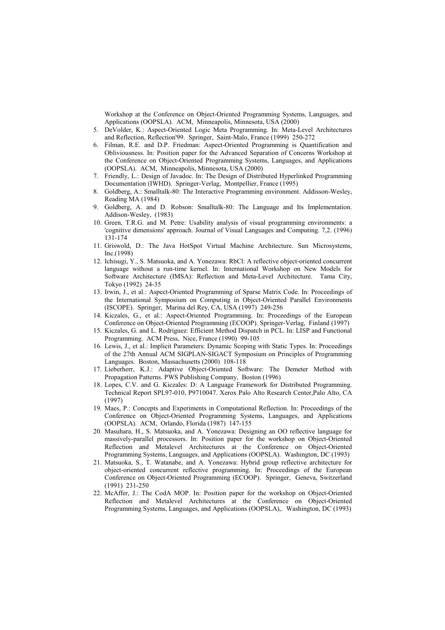Workshop at the Conference on Object-Oriented Programming Systems, Languages, and Applications (OOPSLA). ACM, Minneapolis, Minnesota, USA (2000)

- 5. DeVolder, K.: Aspect-Oriented Logic Meta Programming. In: Meta-Level Architectures and Reflection, Reflection'99. Springer, Saint-Malo, France (1999) 250-272
- 6. Filman, R.E. and D.P. Friedman: Aspect-Oriented Programming is Quantification and Obliviousness. In: Position paper for the Advanced Separation of Concerns Workshop at the Conference on Object-Oriented Programming Systems, Languages, and Applications (OOPSLA). ACM, Minneapolis, Minnesota, USA (2000)
- 7. Friendly, L.: Design of Javadoc. In: The Design of Distributed Hyperlinked Programming Documentation (IWHD). Springer-Verlag, Montpellier, France (1995)
- 8. Goldberg, A.: Smalltalk-80: The Interactive Programming environment. Addisson-Wesley, Reading MA (1984)
- 9. Goldberg, A. and D. Robson: Smalltalk-80: The Language and Its Implementation. Addison-Wesley, (1983)
- 10. Green, T.R.G. and M. Petre: Usability analysis of visual programming environments: a 'cognitive dimensions' approach. Journal of Visual Languages and Computing. 7,2. (1996) 131-174
- 11. Griswold, D.: The Java HotSpot Virtual Machine Architecture. Sun Microsystems, Inc.(1998)
- 12. Ichisugi, Y., S. Matsuoka, and A. Yonezawa: RbCl: A reflective object-oriented concurrent language without a run-time kernel. In: International Workshop on New Models for Software Architecture (IMSA): Reflection and Meta-Level Architecture. Tama City, Tokyo (1992) 24-35
- 13. Irwin, J., et al.: Aspect-Oriented Programming of Sparse Matrix Code. In: Proceedings of the International Symposium on Computing in Object-Oriented Parallel Environments (ISCOPE). Springer, Marina del Rey, CA, USA (1997) 249-256
- 14. Kiczales, G., et al.: Aspect-Oriented Programming. In: Proceedings of the European Conference on Object-Oriented Programming (ECOOP). Springer-Verlag, Finland (1997)
- 15. Kiczales, G. and L. Rodriguez: Efficient Method Dispatch in PCL. In: LISP and Functional Programming. ACM Press, Nice, France (1990) 99-105
- 16. Lewis, J., et al.: Implicit Parameters: Dynamic Scoping with Static Types. In: Proceedings of the 27th Annual ACM SIGPLAN-SIGACT Symposium on Principles of Programming Languages. Boston, Massachusetts (2000) 108-118
- 17. Lieberherr, K.J.: Adaptive Object-Oriented Software: The Demeter Method with Propagation Patterns. PWS Publishing Company, Boston (1996)
- 18. Lopes, C.V. and G. Kiczales: D: A Language Framework for Distributed Programming. Technical Report SPL97-010, P9710047. Xerox Palo Alto Research Center,Palo Alto, CA (1997)
- 19. Maes, P.: Concepts and Experiments in Computational Reflection. In: Proceedings of the Conference on Object-Oriented Programming Systems, Languages, and Applications (OOPSLA). ACM, Orlando, Florida (1987) 147-155
- 20. Masuhara, H., S. Matsuoka, and A. Yonezawa: Designing an OO reflective language for massively-parallel processors. In: Position paper for the workshop on Object-Oriented Reflection and Metalevel Architectures at the Conference on Object-Oriented Programming Systems, Languages, and Applications (OOPSLA). Washington, DC (1993)
- 21. Matsuoka, S., T. Watanabe, and A. Yonezawa: Hybrid group reflective architecture for object-oriented concurrent reflective programming. In: Proceedings of the European Conference on Object-Oriented Programming (ECOOP). Springer, Geneva, Switzerland (1991) 231-250
- 22. McAffer, J.: The CodA MOP. In: Position paper for the workshop on Object-Oriented Reflection and Metalevel Architectures at the Conference on Object-Oriented Programming Systems, Languages, and Applications (OOPSLA),. Washington, DC (1993)